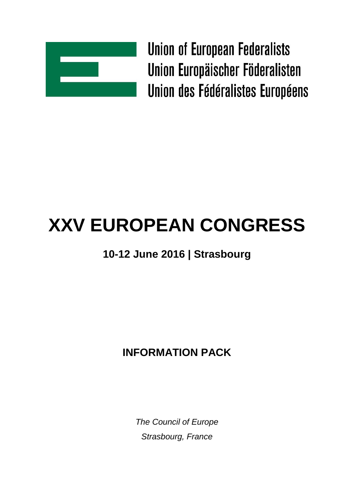

**Union of European Federalists** Union Europäischer Föderalisten Union des Fédéralistes Européens

# **XXV EUROPEAN CONGRESS**

# **10-12 June 2016 | Strasbourg**

## **INFORMATION PACK**

*The Council of Europe Strasbourg, France*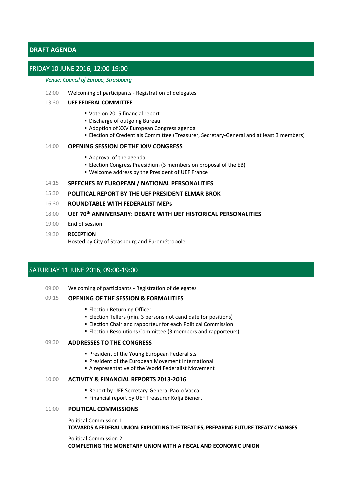## **DRAFT AGENDA**

#### FRIDAY 10 JUNE 2016, 12:00-19:00

### *Venue: Council of Europe, Strasbourg*

| 12:00 | Welcoming of participants - Registration of delegates                                                                                                                                                      |  |
|-------|------------------------------------------------------------------------------------------------------------------------------------------------------------------------------------------------------------|--|
| 13:30 | <b>UEF FEDERAL COMMITTEE</b>                                                                                                                                                                               |  |
|       | ■ Vote on 2015 financial report<br>• Discharge of outgoing Bureau<br>Adoption of XXV European Congress agenda<br>" Election of Credentials Committee (Treasurer, Secretary-General and at least 3 members) |  |
| 14:00 | <b>OPENING SESSION OF THE XXV CONGRESS</b>                                                                                                                                                                 |  |
|       | Approval of the agenda<br>■ Election Congress Praesidium (3 members on proposal of the EB)<br>" Welcome address by the President of UEF France                                                             |  |
| 14:15 | SPEECHES BY EUROPEAN / NATIONAL PERSONALITIES                                                                                                                                                              |  |
| 15:30 | <b>POLITICAL REPORT BY THE UEF PRESIDENT ELMAR BROK</b>                                                                                                                                                    |  |
| 16:30 | ROUNDTABLE WITH FEDERALIST MEPS                                                                                                                                                                            |  |
| 18:00 | UEF 70th ANNIVERSARY: DEBATE WITH UEF HISTORICAL PERSONALITIES                                                                                                                                             |  |
| 19:00 | End of session                                                                                                                                                                                             |  |
| 19:30 | <b>RECEPTION</b><br>Hosted by City of Strasbourg and Eurométropole                                                                                                                                         |  |

## SATURDAY 11 JUNE 2016, 09:00-19:00

| 09:00 | Welcoming of participants - Registration of delegates                                                                                                                                                                          |  |
|-------|--------------------------------------------------------------------------------------------------------------------------------------------------------------------------------------------------------------------------------|--|
| 09:15 | <b>OPENING OF THE SESSION &amp; FORMALITIES</b>                                                                                                                                                                                |  |
|       | ■ Election Returning Officer<br>■ Election Tellers (min. 3 persons not candidate for positions)<br>Election Chair and rapporteur for each Political Commission<br>■ Election Resolutions Committee (3 members and rapporteurs) |  |
| 09:30 | <b>ADDRESSES TO THE CONGRESS</b>                                                                                                                                                                                               |  |
|       | • President of the Young European Federalists<br>■ President of the European Movement International<br>A representative of the World Federalist Movement                                                                       |  |
| 10:00 | <b>ACTIVITY &amp; FINANCIAL REPORTS 2013-2016</b>                                                                                                                                                                              |  |
|       | <b>- Report by UEF Secretary-General Paolo Vacca</b><br>Financial report by UEF Treasurer Kolja Bienert                                                                                                                        |  |
| 11:00 | <b>POLITICAL COMMISSIONS</b>                                                                                                                                                                                                   |  |
|       | <b>Political Commission 1</b><br>TOWARDS A FEDERAL UNION: EXPLOITING THE TREATIES, PREPARING FUTURE TREATY CHANGES                                                                                                             |  |
|       | <b>Political Commission 2</b><br>COMPLETING THE MONETARY UNION WITH A FISCAL AND ECONOMIC UNION                                                                                                                                |  |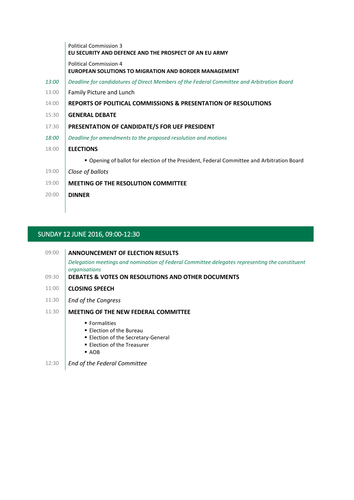|              | <b>Political Commission 3</b><br>EU SECURITY AND DEFENCE AND THE PROSPECT OF AN EU ARMY       |  |
|--------------|-----------------------------------------------------------------------------------------------|--|
|              | <b>Political Commission 4</b><br><b>EUROPEAN SOLUTIONS TO MIGRATION AND BORDER MANAGEMENT</b> |  |
| 13:00        | Deadline for candidatures of Direct Members of the Federal Committee and Arbitration Board    |  |
| 13:00        | <b>Family Picture and Lunch</b>                                                               |  |
| 14:00        | <b>REPORTS OF POLITICAL COMMISSIONS &amp; PRESENTATION OF RESOLUTIONS</b>                     |  |
| 15:30        | <b>GENERAL DEBATE</b>                                                                         |  |
| 17:30        | PRESENTATION OF CANDIDATE/S FOR UEF PRESIDENT                                                 |  |
| <i>18:00</i> | Deadline for amendments to the proposed resolution and motions                                |  |
| 18:00        | <b>ELECTIONS</b>                                                                              |  |
|              | " Opening of ballot for election of the President, Federal Committee and Arbitration Board    |  |
| 19:00        | Close of ballots                                                                              |  |
| 19:00        | <b>MEETING OF THE RESOLUTION COMMITTEE</b>                                                    |  |
| 20:00        | <b>DINNER</b>                                                                                 |  |

## SUNDAY 12 JUNE 2016, 09:00-12:30

| 09:00 | <b>ANNOUNCEMENT OF ELECTION RESULTS</b>                                                                         |  |
|-------|-----------------------------------------------------------------------------------------------------------------|--|
|       | Delegation meetings and nomination of Federal Committee delegates representing the constituent<br>organisations |  |
| 09:30 | DEBATES & VOTES ON RESOLUTIONS AND OTHER DOCUMENTS                                                              |  |
| 11:00 | <b>CLOSING SPEECH</b>                                                                                           |  |
| 11:30 | <b>End of the Congress</b>                                                                                      |  |

- 11:30 **MEETING OF THE NEW FEDERAL COMMITTEE**
	- **Formalities**
	- **Election of the Bureau**
	- **Election of the Secretary-General**
	- **Election of the Treasurer**
	- $AOB$
- 12:30 *End of the Federal Committee*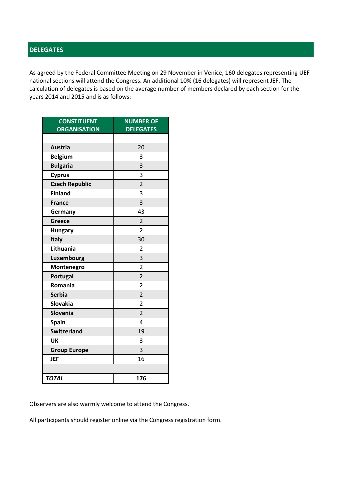## **DELEGATES**

As agreed by the Federal Committee Meeting on 29 November in Venice, 160 delegates representing UEF national sections will attend the Congress. An additional 10% (16 delegates) will represent JEF. The calculation of delegates is based on the average number of members declared by each section for the years 2014 and 2015 and is as follows:

| <b>CONSTITUENT</b><br><b>ORGANISATION</b> | <b>NUMBER OF</b><br><b>DELEGATES</b> |  |  |
|-------------------------------------------|--------------------------------------|--|--|
|                                           |                                      |  |  |
| <b>Austria</b>                            | 20                                   |  |  |
| <b>Belgium</b>                            | 3                                    |  |  |
| <b>Bulgaria</b>                           | 3                                    |  |  |
| <b>Cyprus</b>                             | 3                                    |  |  |
| <b>Czech Republic</b>                     | $\overline{2}$                       |  |  |
| <b>Finland</b>                            | 3                                    |  |  |
| <b>France</b>                             | 3                                    |  |  |
| Germany                                   | 43                                   |  |  |
| Greece                                    | $\overline{2}$                       |  |  |
| <b>Hungary</b>                            | $\overline{2}$                       |  |  |
| Italy                                     | 30                                   |  |  |
| Lithuania                                 | $\overline{2}$                       |  |  |
| Luxembourg                                | 3                                    |  |  |
| Montenegro                                | $\overline{2}$                       |  |  |
| Portugal                                  | $\overline{2}$                       |  |  |
| Romania                                   | $\overline{2}$                       |  |  |
| <b>Serbia</b>                             | $\overline{2}$                       |  |  |
| <b>Slovakia</b>                           | $\overline{2}$                       |  |  |
| Slovenia                                  | $\overline{2}$                       |  |  |
| <b>Spain</b>                              | 4                                    |  |  |
| <b>Switzerland</b>                        | 19                                   |  |  |
| UK                                        | 3                                    |  |  |
| <b>Group Europe</b>                       | 3                                    |  |  |
| <b>JEF</b>                                | 16                                   |  |  |
|                                           |                                      |  |  |
| <b>TOTAL</b>                              | 176                                  |  |  |

Observers are also warmly welcome to attend the Congress.

All participants should register online via the Congress registration form.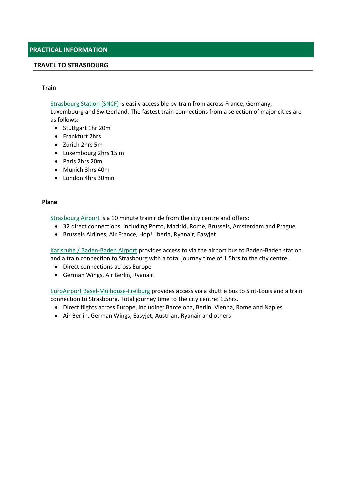#### **TRAVEL TO STRASBOURG**

#### **Train**

[Strasbourg Station \(SNCF\)](http://travel.en.voyages-sncf.com/en/france-alsace/strasbourg) is easily accessible by train from across France, Germany,

Luxembourg and Switzerland. The fastest train connections from a selection of major cities are as follows:

- Stuttgart 1hr 20m
- Frankfurt 2hrs
- Zurich 2hrs 5m
- Luxembourg 2hrs 15 m
- Paris 2hrs 20m
- Munich 3hrs 40m
- London 4hrs 30min

#### **Plane**

[Strasbourg Airport](http://strasbourg.aeroport.fr/en) is a 10 minute train ride from the city centre and offers:

- 32 direct connections, including Porto, Madrid, Rome, Brussels, Amsterdam and Prague
- Brussels Airlines, Air France, Hop!, Iberia, Ryanair, Easyjet.

[Karlsruhe / Baden-Baden Airport](https://www.baden-airpark.de/startseite.html?&L=1) provides access to via the airport bus to Baden-Baden station and a train connection to Strasbourg with a total journey time of 1.5hrs to the city centre.

- Direct connections across Europe
- German Wings, Air Berlin, Ryanair.

[EuroAirport Basel-Mulhouse-Freiburg](http://www.euroairport.com/en/) provides access via a shuttle bus to Sint-Louis and a train connection to Strasbourg. Total journey time to the city centre: 1.5hrs.

- Direct flights across Europe, including: Barcelona, Berlin, Vienna, Rome and Naples
- Air Berlin, German Wings, Easyjet, Austrian, Ryanair and others